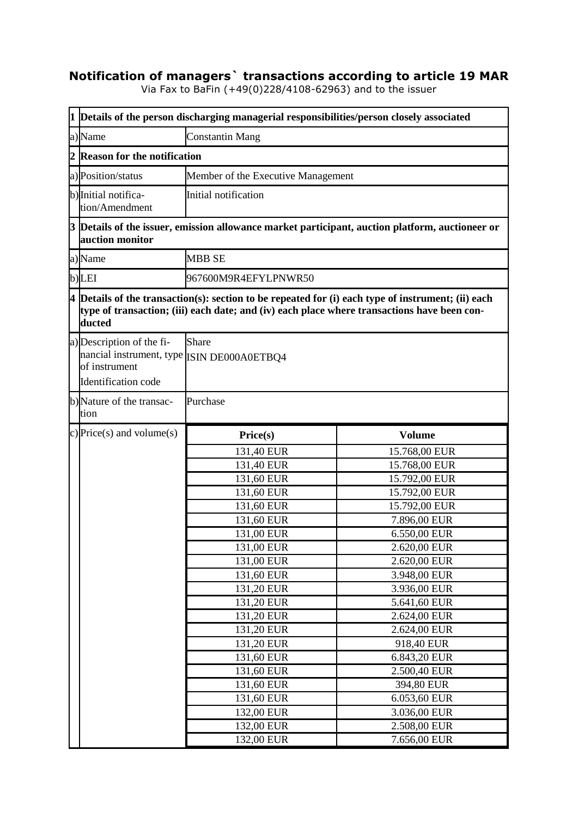## **Notification of managers` transactions according to article 19 MAR**

Via Fax to BaFin (+49(0)228/4108-62963) and to the issuer

|                                  | 1 Details of the person discharging managerial responsibilities/person closely associated                                                                                                                     |                                    |                              |  |  |
|----------------------------------|---------------------------------------------------------------------------------------------------------------------------------------------------------------------------------------------------------------|------------------------------------|------------------------------|--|--|
| a)Name<br><b>Constantin Mang</b> |                                                                                                                                                                                                               |                                    |                              |  |  |
| 2                                | <b>Reason for the notification</b>                                                                                                                                                                            |                                    |                              |  |  |
|                                  | a) Position/status                                                                                                                                                                                            | Member of the Executive Management |                              |  |  |
|                                  | b) Initial notifica-<br>tion/Amendment                                                                                                                                                                        | Initial notification               |                              |  |  |
|                                  | 3 Details of the issuer, emission allowance market participant, auction platform, auctioneer or<br>auction monitor                                                                                            |                                    |                              |  |  |
|                                  | a)Name                                                                                                                                                                                                        | <b>MBB SE</b>                      |                              |  |  |
|                                  | b)LEI                                                                                                                                                                                                         | 967600M9R4EFYLPNWR50               |                              |  |  |
|                                  | $4$ Details of the transaction(s): section to be repeated for (i) each type of instrument; (ii) each<br>type of transaction; (iii) each date; and (iv) each place where transactions have been con-<br>ducted |                                    |                              |  |  |
|                                  | a) Description of the fi-<br>nancial instrument, type ISIN DE000A0ETBQ4<br>of instrument<br>Identification code                                                                                               | Share                              |                              |  |  |
|                                  | b) Nature of the transac-<br>tion                                                                                                                                                                             | Purchase                           |                              |  |  |
|                                  | c) Price(s) and volume(s)                                                                                                                                                                                     | Price(s)                           | <b>Volume</b>                |  |  |
|                                  |                                                                                                                                                                                                               | 131,40 EUR                         | 15.768,00 EUR                |  |  |
|                                  |                                                                                                                                                                                                               | 131,40 EUR                         | 15.768,00 EUR                |  |  |
|                                  |                                                                                                                                                                                                               | 131,60 EUR                         | 15.792,00 EUR                |  |  |
|                                  |                                                                                                                                                                                                               |                                    |                              |  |  |
|                                  |                                                                                                                                                                                                               | 131,60 EUR                         | 15.792,00 EUR                |  |  |
|                                  |                                                                                                                                                                                                               | 131,60 EUR                         | 15.792,00 EUR                |  |  |
|                                  |                                                                                                                                                                                                               | $\overline{131,60}$ EUR            | 7.896,00 EUR                 |  |  |
|                                  |                                                                                                                                                                                                               | 131,00 EUR                         | 6.550,00 EUR                 |  |  |
|                                  |                                                                                                                                                                                                               | 131,00 EUR                         | 2.620,00 EUR                 |  |  |
|                                  |                                                                                                                                                                                                               | 131,00 EUR                         | 2.620,00 EUR                 |  |  |
|                                  |                                                                                                                                                                                                               | 131,60 EUR                         | 3.948,00 EUR                 |  |  |
|                                  |                                                                                                                                                                                                               | 131,20 EUR                         | 3.936,00 EUR                 |  |  |
|                                  |                                                                                                                                                                                                               |                                    | 5.641,60 EUR                 |  |  |
|                                  |                                                                                                                                                                                                               | 131,20 EUR                         |                              |  |  |
|                                  |                                                                                                                                                                                                               | 131,20 EUR<br>131,20 EUR           | 2.624,00 EUR                 |  |  |
|                                  |                                                                                                                                                                                                               | 131,20 EUR                         | 2.624,00 EUR<br>918,40 EUR   |  |  |
|                                  |                                                                                                                                                                                                               |                                    | 6.843,20 EUR                 |  |  |
|                                  |                                                                                                                                                                                                               | 131,60 EUR                         |                              |  |  |
|                                  |                                                                                                                                                                                                               | 131,60 EUR                         | 2.500,40 EUR                 |  |  |
|                                  |                                                                                                                                                                                                               | 131,60 EUR                         | 394,80 EUR                   |  |  |
|                                  |                                                                                                                                                                                                               | 131,60 EUR                         | 6.053,60 EUR                 |  |  |
|                                  |                                                                                                                                                                                                               | 132,00 EUR<br>132,00 EUR           | 3.036,00 EUR<br>2.508,00 EUR |  |  |